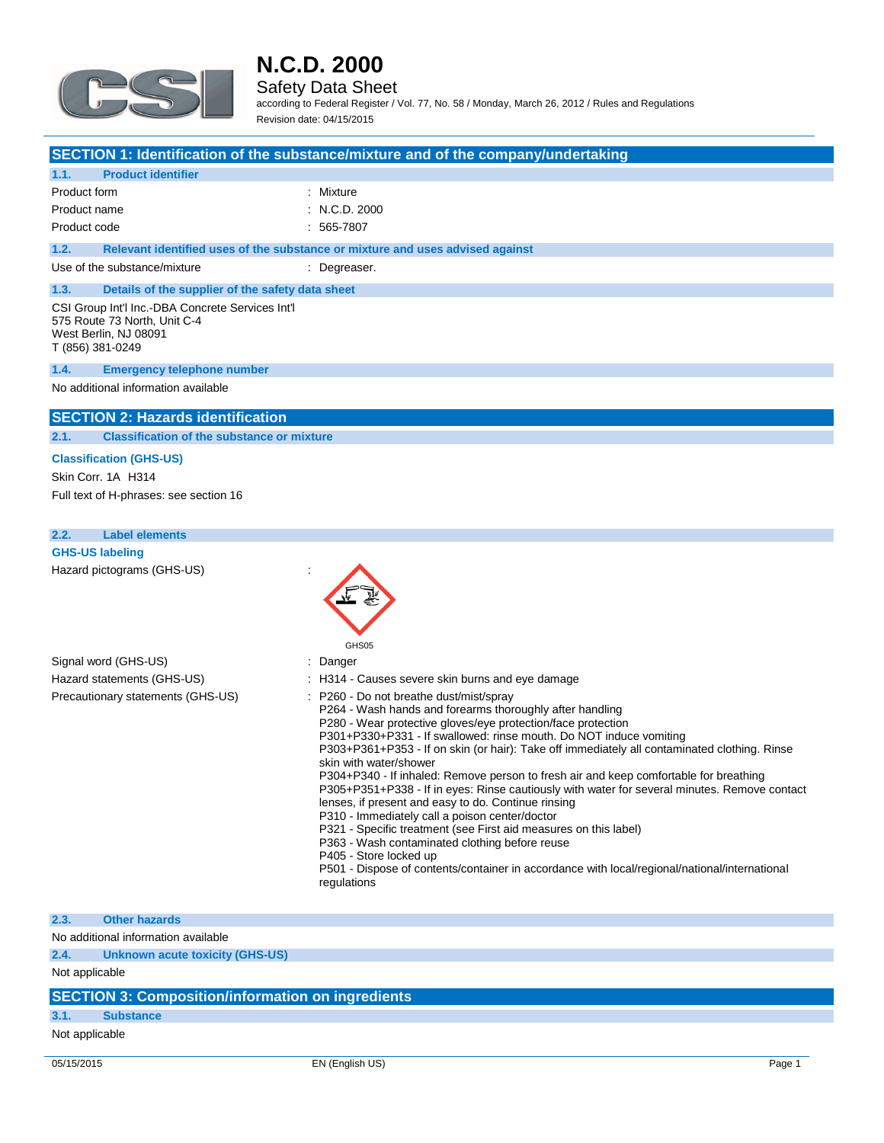

**1.1. Product identifier**

### **N.C.D. 2000**

#### Safety Data Sheet

**SECTION 1: Identification of the substance/mixture and of the company/undertaking**

according to Federal Register / Vol. 77, No. 58 / Monday, March 26, 2012 / Rules and Regulations Revision date: 04/15/2015

| Product form                                                                                                                  | : Mixture                                                                                                                                                                                                                                                                                                                                                                                                                                                                                                                                                                                                                                                                                                                                                                                                                                                                                                                             |
|-------------------------------------------------------------------------------------------------------------------------------|---------------------------------------------------------------------------------------------------------------------------------------------------------------------------------------------------------------------------------------------------------------------------------------------------------------------------------------------------------------------------------------------------------------------------------------------------------------------------------------------------------------------------------------------------------------------------------------------------------------------------------------------------------------------------------------------------------------------------------------------------------------------------------------------------------------------------------------------------------------------------------------------------------------------------------------|
| Product name                                                                                                                  | : N.C.D. 2000                                                                                                                                                                                                                                                                                                                                                                                                                                                                                                                                                                                                                                                                                                                                                                                                                                                                                                                         |
| Product code                                                                                                                  | $: 565 - 7807$                                                                                                                                                                                                                                                                                                                                                                                                                                                                                                                                                                                                                                                                                                                                                                                                                                                                                                                        |
| 1.2.                                                                                                                          | Relevant identified uses of the substance or mixture and uses advised against                                                                                                                                                                                                                                                                                                                                                                                                                                                                                                                                                                                                                                                                                                                                                                                                                                                         |
| Use of the substance/mixture                                                                                                  | : Degreaser.                                                                                                                                                                                                                                                                                                                                                                                                                                                                                                                                                                                                                                                                                                                                                                                                                                                                                                                          |
| 1.3.<br>Details of the supplier of the safety data sheet                                                                      |                                                                                                                                                                                                                                                                                                                                                                                                                                                                                                                                                                                                                                                                                                                                                                                                                                                                                                                                       |
| CSI Group Int'l Inc.-DBA Concrete Services Int'l<br>575 Route 73 North, Unit C-4<br>West Berlin, NJ 08091<br>T (856) 381-0249 |                                                                                                                                                                                                                                                                                                                                                                                                                                                                                                                                                                                                                                                                                                                                                                                                                                                                                                                                       |
| 1.4.<br><b>Emergency telephone number</b>                                                                                     |                                                                                                                                                                                                                                                                                                                                                                                                                                                                                                                                                                                                                                                                                                                                                                                                                                                                                                                                       |
| No additional information available                                                                                           |                                                                                                                                                                                                                                                                                                                                                                                                                                                                                                                                                                                                                                                                                                                                                                                                                                                                                                                                       |
| <b>SECTION 2: Hazards identification</b>                                                                                      |                                                                                                                                                                                                                                                                                                                                                                                                                                                                                                                                                                                                                                                                                                                                                                                                                                                                                                                                       |
| <b>Classification of the substance or mixture</b><br>2.1.                                                                     |                                                                                                                                                                                                                                                                                                                                                                                                                                                                                                                                                                                                                                                                                                                                                                                                                                                                                                                                       |
| <b>Classification (GHS-US)</b>                                                                                                |                                                                                                                                                                                                                                                                                                                                                                                                                                                                                                                                                                                                                                                                                                                                                                                                                                                                                                                                       |
| Skin Corr. 1A H314                                                                                                            |                                                                                                                                                                                                                                                                                                                                                                                                                                                                                                                                                                                                                                                                                                                                                                                                                                                                                                                                       |
| Full text of H-phrases: see section 16                                                                                        |                                                                                                                                                                                                                                                                                                                                                                                                                                                                                                                                                                                                                                                                                                                                                                                                                                                                                                                                       |
|                                                                                                                               |                                                                                                                                                                                                                                                                                                                                                                                                                                                                                                                                                                                                                                                                                                                                                                                                                                                                                                                                       |
| 2.2.<br><b>Label elements</b>                                                                                                 |                                                                                                                                                                                                                                                                                                                                                                                                                                                                                                                                                                                                                                                                                                                                                                                                                                                                                                                                       |
| <b>GHS-US labeling</b>                                                                                                        |                                                                                                                                                                                                                                                                                                                                                                                                                                                                                                                                                                                                                                                                                                                                                                                                                                                                                                                                       |
| Hazard pictograms (GHS-US)                                                                                                    | GHS05                                                                                                                                                                                                                                                                                                                                                                                                                                                                                                                                                                                                                                                                                                                                                                                                                                                                                                                                 |
| Signal word (GHS-US)                                                                                                          | : Danger                                                                                                                                                                                                                                                                                                                                                                                                                                                                                                                                                                                                                                                                                                                                                                                                                                                                                                                              |
| Hazard statements (GHS-US)                                                                                                    | : H314 - Causes severe skin burns and eye damage                                                                                                                                                                                                                                                                                                                                                                                                                                                                                                                                                                                                                                                                                                                                                                                                                                                                                      |
| Precautionary statements (GHS-US)                                                                                             | : P260 - Do not breathe dust/mist/spray<br>P264 - Wash hands and forearms thoroughly after handling<br>P280 - Wear protective gloves/eye protection/face protection<br>P301+P330+P331 - If swallowed: rinse mouth. Do NOT induce vomiting<br>P303+P361+P353 - If on skin (or hair): Take off immediately all contaminated clothing. Rinse<br>skin with water/shower<br>P304+P340 - If inhaled: Remove person to fresh air and keep comfortable for breathing<br>P305+P351+P338 - If in eyes: Rinse cautiously with water for several minutes. Remove contact<br>lenses, if present and easy to do. Continue rinsing<br>P310 - Immediately call a poison center/doctor<br>P321 - Specific treatment (see First aid measures on this label)<br>P363 - Wash contaminated clothing before reuse<br>P405 - Store locked up<br>P501 - Dispose of contents/container in accordance with local/regional/national/international<br>regulations |
| 2.3.<br><b>Other hazards</b>                                                                                                  |                                                                                                                                                                                                                                                                                                                                                                                                                                                                                                                                                                                                                                                                                                                                                                                                                                                                                                                                       |

No additional information available

**2.4. Unknown acute toxicity (GHS-US)**

Not applicable

#### **SECTION 3: Composition/information on ingredients**

#### **3.1. Substance**

Not applicable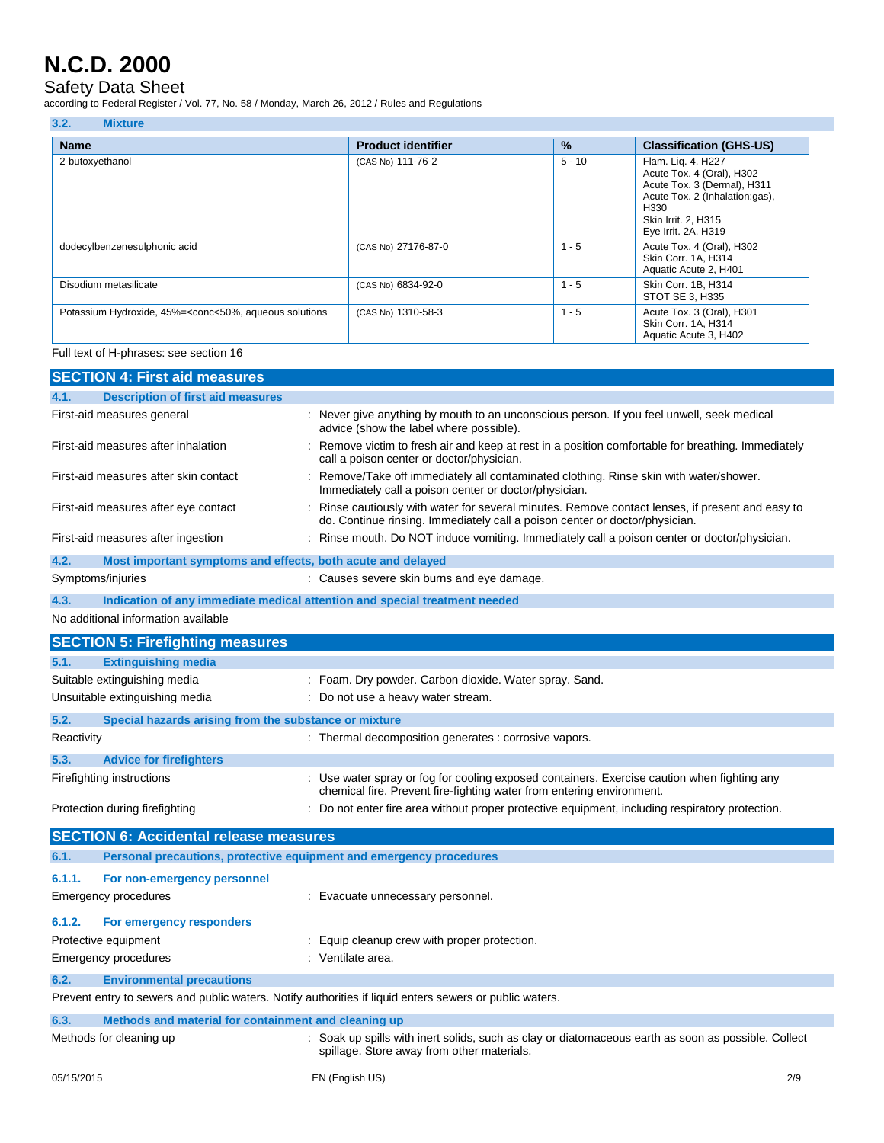#### Safety Data Sheet

according to Federal Register / Vol. 77, No. 58 / Monday, March 26, 2012 / Rules and Regulations

| 3.2.<br><b>Mixture</b>                                                                                                                                                                                                     |                           |          |                                                                                                                                                                        |
|----------------------------------------------------------------------------------------------------------------------------------------------------------------------------------------------------------------------------|---------------------------|----------|------------------------------------------------------------------------------------------------------------------------------------------------------------------------|
| <b>Name</b>                                                                                                                                                                                                                | <b>Product identifier</b> | %        | <b>Classification (GHS-US)</b>                                                                                                                                         |
| 2-butoxyethanol                                                                                                                                                                                                            | (CAS No) 111-76-2         | $5 - 10$ | Flam. Liq. 4, H227<br>Acute Tox. 4 (Oral), H302<br>Acute Tox. 3 (Dermal), H311<br>Acute Tox. 2 (Inhalation:gas),<br>H330<br>Skin Irrit. 2, H315<br>Eye Irrit. 2A, H319 |
| dodecylbenzenesulphonic acid                                                                                                                                                                                               | (CAS No) 27176-87-0       | $1 - 5$  | Acute Tox. 4 (Oral), H302<br>Skin Corr. 1A, H314<br>Aquatic Acute 2, H401                                                                                              |
| Disodium metasilicate                                                                                                                                                                                                      | (CAS No) 6834-92-0        | $1 - 5$  | Skin Corr. 1B, H314<br>STOT SE 3, H335                                                                                                                                 |
| Potassium Hydroxide, 45%= <conc<50%, aqueous="" solutions<="" td=""><td>(CAS No) 1310-58-3</td><td><math>1 - 5</math></td><td>Acute Tox. 3 (Oral), H301<br/>Skin Corr. 1A, H314<br/>Aquatic Acute 3, H402</td></conc<50%,> | (CAS No) 1310-58-3        | $1 - 5$  | Acute Tox. 3 (Oral), H301<br>Skin Corr. 1A, H314<br>Aquatic Acute 3, H402                                                                                              |

Full text of H-phrases: see section 16

| <b>SECTION 4: First aid measures</b>                                        |                                                                                                                                                                                 |
|-----------------------------------------------------------------------------|---------------------------------------------------------------------------------------------------------------------------------------------------------------------------------|
| <b>Description of first aid measures</b><br>4.1.                            |                                                                                                                                                                                 |
| First-aid measures general                                                  | : Never give anything by mouth to an unconscious person. If you feel unwell, seek medical<br>advice (show the label where possible).                                            |
| First-aid measures after inhalation                                         | : Remove victim to fresh air and keep at rest in a position comfortable for breathing. Immediately<br>call a poison center or doctor/physician.                                 |
| First-aid measures after skin contact                                       | : Remove/Take off immediately all contaminated clothing. Rinse skin with water/shower.<br>Immediately call a poison center or doctor/physician.                                 |
| First-aid measures after eye contact                                        | : Rinse cautiously with water for several minutes. Remove contact lenses, if present and easy to<br>do. Continue rinsing. Immediately call a poison center or doctor/physician. |
| First-aid measures after ingestion                                          | : Rinse mouth. Do NOT induce vomiting. Immediately call a poison center or doctor/physician.                                                                                    |
| 4.2.<br>Most important symptoms and effects, both acute and delayed         |                                                                                                                                                                                 |
| Symptoms/injuries                                                           | : Causes severe skin burns and eye damage.                                                                                                                                      |
| 4.3.                                                                        | Indication of any immediate medical attention and special treatment needed                                                                                                      |
| No additional information available                                         |                                                                                                                                                                                 |
| <b>SECTION 5: Firefighting measures</b>                                     |                                                                                                                                                                                 |
| 5.1.<br><b>Extinguishing media</b>                                          |                                                                                                                                                                                 |
| Suitable extinguishing media                                                | : Foam. Dry powder. Carbon dioxide. Water spray. Sand.                                                                                                                          |
| Unsuitable extinguishing media                                              | : Do not use a heavy water stream.                                                                                                                                              |
| 5.2.<br>Special hazards arising from the substance or mixture               |                                                                                                                                                                                 |
| Reactivity                                                                  | : Thermal decomposition generates : corrosive vapors.                                                                                                                           |
| 5.3.<br><b>Advice for firefighters</b>                                      |                                                                                                                                                                                 |
| Firefighting instructions                                                   | : Use water spray or fog for cooling exposed containers. Exercise caution when fighting any<br>chemical fire. Prevent fire-fighting water from entering environment.            |
| Protection during firefighting                                              | : Do not enter fire area without proper protective equipment, including respiratory protection.                                                                                 |
| <b>SECTION 6: Accidental release measures</b>                               |                                                                                                                                                                                 |
| 6.1.<br>Personal precautions, protective equipment and emergency procedures |                                                                                                                                                                                 |
| 6.1.1.<br>For non-emergency personnel                                       |                                                                                                                                                                                 |
| <b>Emergency procedures</b>                                                 | : Evacuate unnecessary personnel.                                                                                                                                               |
| 6.1.2.<br>For emergency responders                                          |                                                                                                                                                                                 |
| Protective equipment                                                        | : Equip cleanup crew with proper protection.                                                                                                                                    |
| <b>Emergency procedures</b>                                                 | : Ventilate area.                                                                                                                                                               |
| 6.2.<br><b>Environmental precautions</b>                                    |                                                                                                                                                                                 |
|                                                                             | Prevent entry to sewers and public waters. Notify authorities if liquid enters sewers or public waters.                                                                         |
| 6.3.<br>Methods and material for containment and cleaning up                |                                                                                                                                                                                 |
| Methods for cleaning up                                                     | : Soak up spills with inert solids, such as clay or diatomaceous earth as soon as possible. Collect<br>spillage. Store away from other materials.                               |
| 05/15/2015                                                                  | EN (English US)<br>2/9                                                                                                                                                          |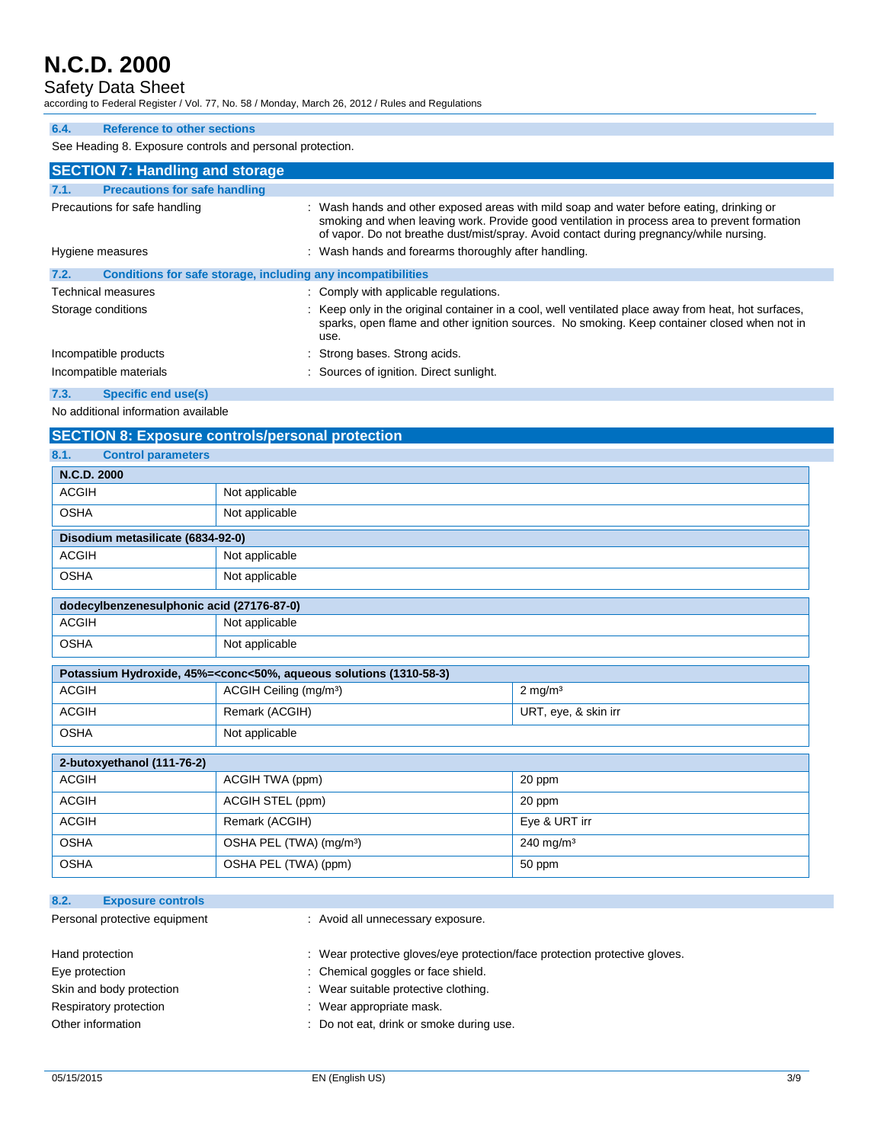Safety Data Sheet

according to Federal Register / Vol. 77, No. 58 / Monday, March 26, 2012 / Rules and Regulations

#### **6.4. Reference to other sections**

See Heading 8. Exposure controls and personal protection.

|                  | <b>SECTION 7: Handling and storage</b>                       |                                                                                                                                                                                                                                                                                     |
|------------------|--------------------------------------------------------------|-------------------------------------------------------------------------------------------------------------------------------------------------------------------------------------------------------------------------------------------------------------------------------------|
| 7.1.             | <b>Precautions for safe handling</b>                         |                                                                                                                                                                                                                                                                                     |
|                  | Precautions for safe handling                                | : Wash hands and other exposed areas with mild soap and water before eating, drinking or<br>smoking and when leaving work. Provide good ventilation in process area to prevent formation<br>of vapor. Do not breathe dust/mist/spray. Avoid contact during pregnancy/while nursing. |
| Hygiene measures |                                                              | : Wash hands and forearms thoroughly after handling.                                                                                                                                                                                                                                |
| 7.2.             | Conditions for safe storage, including any incompatibilities |                                                                                                                                                                                                                                                                                     |
|                  | <b>Technical measures</b>                                    | : Comply with applicable regulations.                                                                                                                                                                                                                                               |
|                  | Storage conditions                                           | : Keep only in the original container in a cool, well ventilated place away from heat, hot surfaces,<br>sparks, open flame and other ignition sources. No smoking. Keep container closed when not in<br>use.                                                                        |
|                  | Incompatible products                                        | : Strong bases. Strong acids.                                                                                                                                                                                                                                                       |
|                  | Incompatible materials                                       | : Sources of ignition. Direct sunlight.                                                                                                                                                                                                                                             |
| 7.3.             | Specific end use(s)                                          |                                                                                                                                                                                                                                                                                     |

No additional information available

| <b>SECTION 8: Exposure controls/personal protection</b>                                         |                                     |                         |  |
|-------------------------------------------------------------------------------------------------|-------------------------------------|-------------------------|--|
| <b>Control parameters</b><br>8.1.                                                               |                                     |                         |  |
| N.C.D. 2000                                                                                     |                                     |                         |  |
| <b>ACGIH</b>                                                                                    | Not applicable                      |                         |  |
| <b>OSHA</b>                                                                                     | Not applicable                      |                         |  |
|                                                                                                 | Disodium metasilicate (6834-92-0)   |                         |  |
| <b>ACGIH</b>                                                                                    | Not applicable                      |                         |  |
| <b>OSHA</b>                                                                                     | Not applicable                      |                         |  |
| dodecylbenzenesulphonic acid (27176-87-0)                                                       |                                     |                         |  |
| <b>ACGIH</b>                                                                                    | Not applicable                      |                         |  |
| <b>OSHA</b>                                                                                     | Not applicable                      |                         |  |
| Potassium Hydroxide, 45%= <conc<50%, (1310-58-3)<="" aqueous="" solutions="" td=""></conc<50%,> |                                     |                         |  |
| <b>ACGIH</b>                                                                                    | ACGIH Ceiling (mg/m <sup>3</sup> )  | $2$ mg/m <sup>3</sup>   |  |
| <b>ACGIH</b>                                                                                    | Remark (ACGIH)                      | URT, eye, & skin irr    |  |
| <b>OSHA</b>                                                                                     | Not applicable                      |                         |  |
| 2-butoxyethanol (111-76-2)                                                                      |                                     |                         |  |
| <b>ACGIH</b>                                                                                    | ACGIH TWA (ppm)                     | 20 ppm                  |  |
| <b>ACGIH</b>                                                                                    | ACGIH STEL (ppm)                    | 20 ppm                  |  |
| <b>ACGIH</b>                                                                                    | Remark (ACGIH)                      | Eye & URT irr           |  |
| <b>OSHA</b>                                                                                     | OSHA PEL (TWA) (mg/m <sup>3</sup> ) | $240$ mg/m <sup>3</sup> |  |
| <b>OSHA</b>                                                                                     | OSHA PEL (TWA) (ppm)                | 50 ppm                  |  |
|                                                                                                 |                                     |                         |  |
| 8.2.<br><b>Exposure controls</b>                                                                |                                     |                         |  |
| Personal protective equipment                                                                   | : Avoid all unnecessary exposure.   |                         |  |

| Hand protection          | : Wear protective gloves/eye protection/face protection protective gloves. |
|--------------------------|----------------------------------------------------------------------------|
| Eye protection           | : Chemical goggles or face shield.                                         |
| Skin and body protection | : Wear suitable protective clothing.                                       |
| Respiratory protection   | : Wear appropriate mask.                                                   |
| Other information        | : Do not eat, drink or smoke during use.                                   |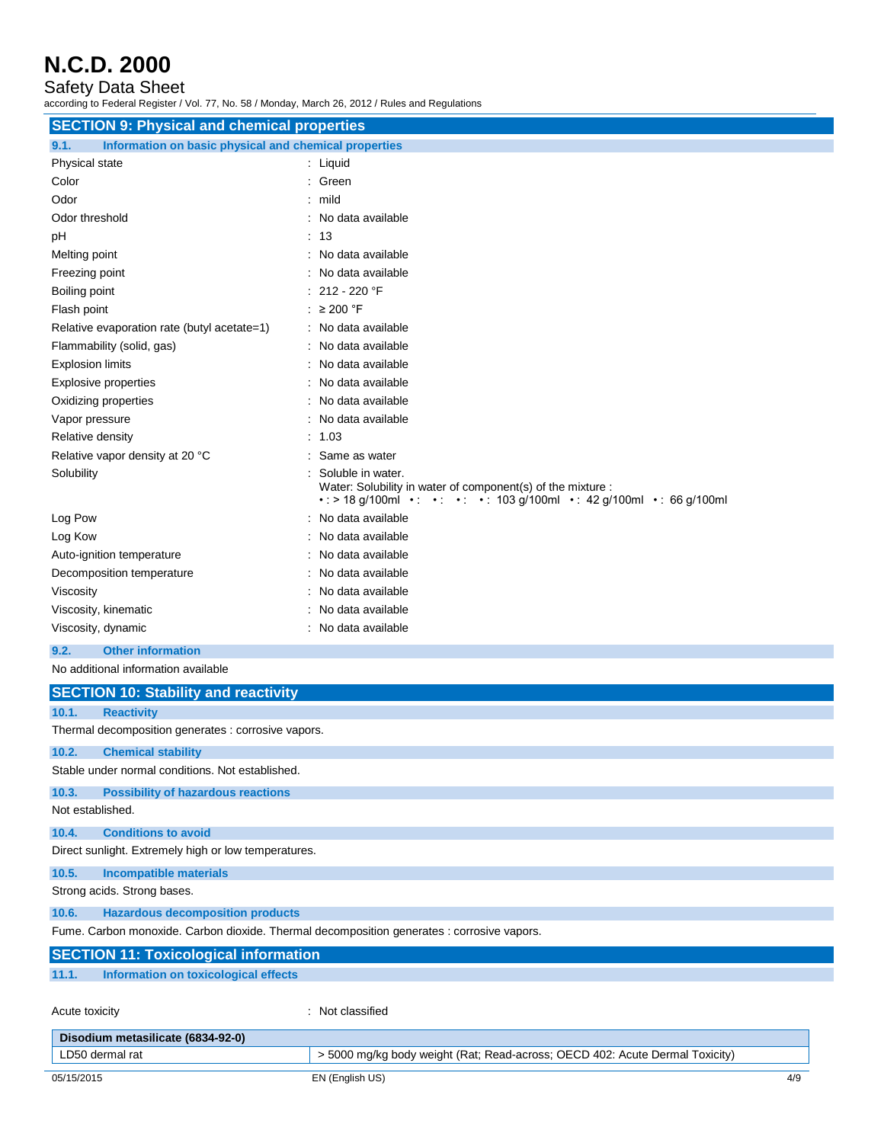Safety Data Sheet

according to Federal Register / Vol. 77, No. 58 / Monday, March 26, 2012 / Rules and Regulations

| <b>SECTION 9: Physical and chemical properties</b>            |                                                                                                                                                                |  |
|---------------------------------------------------------------|----------------------------------------------------------------------------------------------------------------------------------------------------------------|--|
| Information on basic physical and chemical properties<br>9.1. |                                                                                                                                                                |  |
| Physical state                                                | $:$ Liquid                                                                                                                                                     |  |
| Color                                                         | : Green                                                                                                                                                        |  |
| Odor                                                          | $:$ mild                                                                                                                                                       |  |
| Odor threshold                                                | : No data available                                                                                                                                            |  |
| pH                                                            | : 13                                                                                                                                                           |  |
| Melting point                                                 | : No data available                                                                                                                                            |  |
| Freezing point                                                | : No data available                                                                                                                                            |  |
| Boiling point                                                 | $: 212 - 220$ °F                                                                                                                                               |  |
| Flash point                                                   | : $\geq 200$ °F                                                                                                                                                |  |
| Relative evaporation rate (butyl acetate=1)                   | : No data available                                                                                                                                            |  |
| Flammability (solid, gas)                                     | : No data available                                                                                                                                            |  |
| <b>Explosion limits</b>                                       | No data available                                                                                                                                              |  |
| Explosive properties                                          | : No data available                                                                                                                                            |  |
| Oxidizing properties                                          | : No data available                                                                                                                                            |  |
| Vapor pressure                                                | : No data available                                                                                                                                            |  |
| Relative density                                              | : 1.03                                                                                                                                                         |  |
| Relative vapor density at 20 °C                               | Same as water                                                                                                                                                  |  |
| Solubility                                                    | Soluble in water.<br>Water: Solubility in water of component(s) of the mixture :<br>• : > 18 g/100ml • : • : • : • : 103 g/100ml • : 42 g/100ml • : 66 g/100ml |  |
| Log Pow                                                       | No data available                                                                                                                                              |  |
| Log Kow                                                       | No data available                                                                                                                                              |  |
| Auto-ignition temperature                                     | : No data available                                                                                                                                            |  |
| Decomposition temperature                                     | : No data available                                                                                                                                            |  |
| Viscosity                                                     | : No data available                                                                                                                                            |  |
| Viscosity, kinematic                                          | : No data available                                                                                                                                            |  |
| Viscosity, dynamic                                            | : No data available                                                                                                                                            |  |
| 9.2.<br><b>Other information</b>                              |                                                                                                                                                                |  |

No additional information available

|                                                                                            | <b>SECTION 10: Stability and reactivity</b>         |                                                                              |  |
|--------------------------------------------------------------------------------------------|-----------------------------------------------------|------------------------------------------------------------------------------|--|
| 10.1.                                                                                      | <b>Reactivity</b>                                   |                                                                              |  |
|                                                                                            | Thermal decomposition generates : corrosive vapors. |                                                                              |  |
| 10.2.                                                                                      | <b>Chemical stability</b>                           |                                                                              |  |
|                                                                                            | Stable under normal conditions. Not established.    |                                                                              |  |
| 10.3.                                                                                      | <b>Possibility of hazardous reactions</b>           |                                                                              |  |
|                                                                                            | Not established.                                    |                                                                              |  |
| 10.4.                                                                                      | <b>Conditions to avoid</b>                          |                                                                              |  |
| Direct sunlight. Extremely high or low temperatures.                                       |                                                     |                                                                              |  |
| 10.5.                                                                                      | <b>Incompatible materials</b>                       |                                                                              |  |
|                                                                                            | Strong acids. Strong bases.                         |                                                                              |  |
| 10.6.                                                                                      | <b>Hazardous decomposition products</b>             |                                                                              |  |
| Fume. Carbon monoxide. Carbon dioxide. Thermal decomposition generates : corrosive vapors. |                                                     |                                                                              |  |
|                                                                                            | <b>SECTION 11: Toxicological information</b>        |                                                                              |  |
| 11.1.                                                                                      | Information on toxicological effects                |                                                                              |  |
|                                                                                            |                                                     |                                                                              |  |
| Acute toxicity                                                                             |                                                     | : Not classified                                                             |  |
|                                                                                            | Disodium metasilicate (6834-92-0)                   |                                                                              |  |
|                                                                                            | LD50 dermal rat                                     | > 5000 mg/kg body weight (Rat; Read-across; OECD 402: Acute Dermal Toxicity) |  |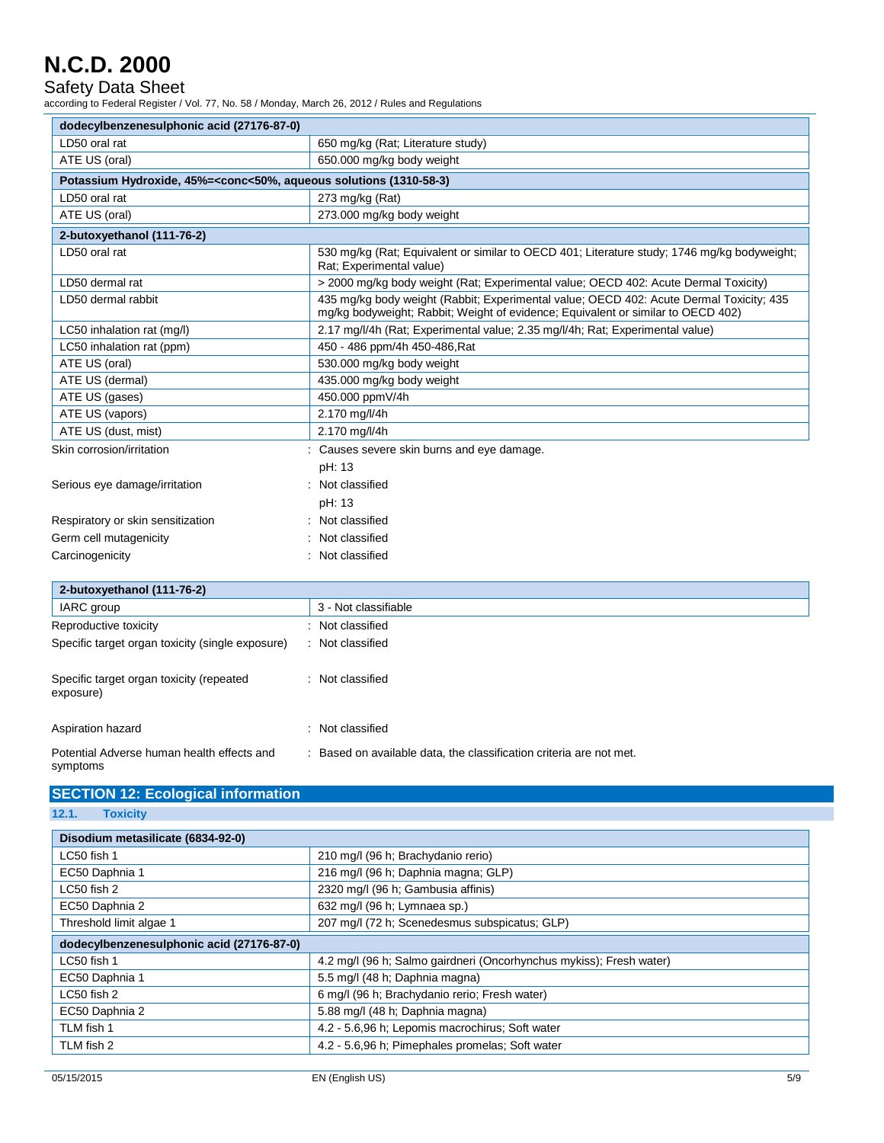Safety Data Sheet

according to Federal Register / Vol. 77, No. 58 / Monday, March 26, 2012 / Rules and Regulations

| dodecylbenzenesulphonic acid (27176-87-0)                                                                |                                                                                                                                                                             |  |  |
|----------------------------------------------------------------------------------------------------------|-----------------------------------------------------------------------------------------------------------------------------------------------------------------------------|--|--|
| LD50 oral rat                                                                                            | 650 mg/kg (Rat; Literature study)                                                                                                                                           |  |  |
| ATE US (oral)                                                                                            | 650.000 mg/kg body weight                                                                                                                                                   |  |  |
| Potassium Hydroxide, 45%= <conc<50%, (1310-58-3)<="" aqueous="" solutions="" th=""><th></th></conc<50%,> |                                                                                                                                                                             |  |  |
| LD50 oral rat                                                                                            | 273 mg/kg (Rat)                                                                                                                                                             |  |  |
| ATE US (oral)                                                                                            | 273.000 mg/kg body weight                                                                                                                                                   |  |  |
| 2-butoxyethanol (111-76-2)                                                                               |                                                                                                                                                                             |  |  |
| LD50 oral rat                                                                                            | 530 mg/kg (Rat; Equivalent or similar to OECD 401; Literature study; 1746 mg/kg bodyweight;<br>Rat: Experimental value)                                                     |  |  |
| LD50 dermal rat                                                                                          | > 2000 mg/kg body weight (Rat: Experimental value: OECD 402: Acute Dermal Toxicity)                                                                                         |  |  |
| LD50 dermal rabbit                                                                                       | 435 mg/kg body weight (Rabbit; Experimental value; OECD 402: Acute Dermal Toxicity; 435<br>mg/kg bodyweight; Rabbit; Weight of evidence; Equivalent or similar to OECD 402) |  |  |
| LC50 inhalation rat (mg/l)                                                                               | 2.17 mg/l/4h (Rat; Experimental value; 2.35 mg/l/4h; Rat; Experimental value)                                                                                               |  |  |
| LC50 inhalation rat (ppm)                                                                                | 450 - 486 ppm/4h 450-486, Rat                                                                                                                                               |  |  |
| ATE US (oral)                                                                                            | 530.000 mg/kg body weight                                                                                                                                                   |  |  |
| ATE US (dermal)                                                                                          | 435.000 mg/kg body weight                                                                                                                                                   |  |  |
| ATE US (gases)                                                                                           | 450.000 ppmV/4h                                                                                                                                                             |  |  |
| ATE US (vapors)                                                                                          | 2.170 mg/l/4h                                                                                                                                                               |  |  |
| ATE US (dust, mist)                                                                                      | 2.170 mg/l/4h                                                                                                                                                               |  |  |
| Skin corrosion/irritation                                                                                | : Causes severe skin burns and eye damage.                                                                                                                                  |  |  |
|                                                                                                          | pH: 13                                                                                                                                                                      |  |  |
| Serious eye damage/irritation                                                                            | Not classified                                                                                                                                                              |  |  |
|                                                                                                          | pH: 13                                                                                                                                                                      |  |  |
| Respiratory or skin sensitization                                                                        | Not classified                                                                                                                                                              |  |  |
| Germ cell mutagenicity                                                                                   | Not classified                                                                                                                                                              |  |  |
| Carcinogenicity                                                                                          | Not classified                                                                                                                                                              |  |  |
| 2-butoxyethanol (111-76-2)                                                                               |                                                                                                                                                                             |  |  |
| IARC group                                                                                               | 3 - Not classifiable                                                                                                                                                        |  |  |
| Reproductive toxicity                                                                                    | Not classified                                                                                                                                                              |  |  |

| Reproductive toxicity                                  | : Not classified                                                    |
|--------------------------------------------------------|---------------------------------------------------------------------|
| Specific target organ toxicity (single exposure)       | Not classified                                                      |
| Specific target organ toxicity (repeated<br>exposure)  | : Not classified                                                    |
| Aspiration hazard                                      | : Not classified                                                    |
| Potential Adverse human health effects and<br>symptoms | : Based on available data, the classification criteria are not met. |

|  | <b>SECTION 12: Ecological information</b> |
|--|-------------------------------------------|
|  |                                           |
|  |                                           |
|  |                                           |

**12.1. Toxicity**

l.

| Disodium metasilicate (6834-92-0)         |                                                                     |  |
|-------------------------------------------|---------------------------------------------------------------------|--|
| LC50 fish 1                               | 210 mg/l (96 h; Brachydanio rerio)                                  |  |
| EC50 Daphnia 1                            | 216 mg/l (96 h; Daphnia magna; GLP)                                 |  |
| LC50 fish 2                               | 2320 mg/l (96 h; Gambusia affinis)                                  |  |
| EC50 Daphnia 2                            | 632 mg/l (96 h; Lymnaea sp.)                                        |  |
| Threshold limit algae 1                   | 207 mg/l (72 h; Scenedesmus subspicatus; GLP)                       |  |
| dodecylbenzenesulphonic acid (27176-87-0) |                                                                     |  |
| LC50 fish 1                               | 4.2 mg/l (96 h; Salmo gairdneri (Oncorhynchus mykiss); Fresh water) |  |
| EC50 Daphnia 1                            | 5.5 mg/l (48 h; Daphnia magna)                                      |  |
| LC50 fish 2                               | 6 mg/l (96 h; Brachydanio rerio; Fresh water)                       |  |
| EC50 Daphnia 2                            | 5.88 mg/l (48 h; Daphnia magna)                                     |  |
| TLM fish 1                                | 4.2 - 5.6,96 h; Lepomis macrochirus; Soft water                     |  |
| TLM fish 2                                | 4.2 - 5.6.96 h; Pimephales promelas; Soft water                     |  |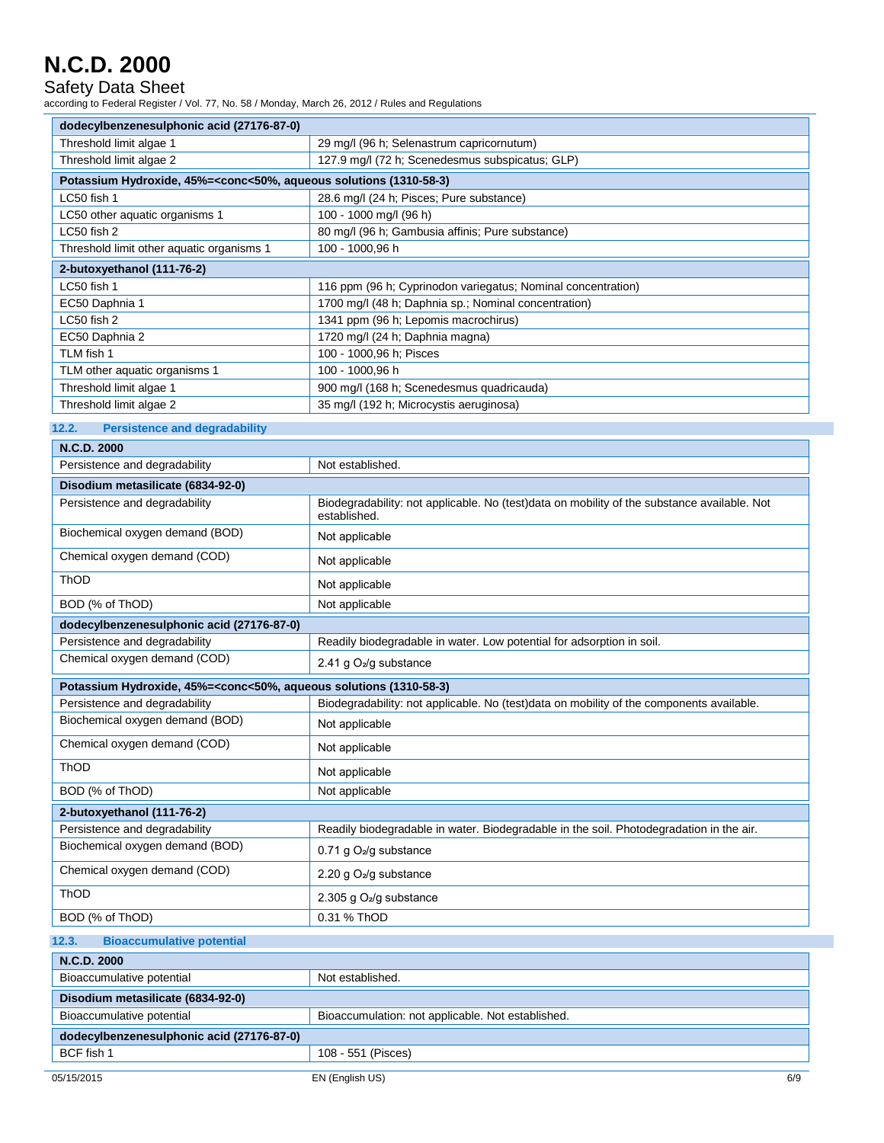Safety Data Sheet

according to Federal Register / Vol. 77, No. 58 / Monday, March 26, 2012 / Rules and Regulations

| dodecylbenzenesulphonic acid (27176-87-0)                                                                |                                                                                                             |  |  |  |
|----------------------------------------------------------------------------------------------------------|-------------------------------------------------------------------------------------------------------------|--|--|--|
| Threshold limit algae 1                                                                                  | 29 mg/l (96 h; Selenastrum capricornutum)                                                                   |  |  |  |
| Threshold limit algae 2                                                                                  | 127.9 mg/l (72 h; Scenedesmus subspicatus; GLP)                                                             |  |  |  |
| Potassium Hydroxide, 45%= <conc<50%, (1310-58-3)<="" aqueous="" solutions="" td=""></conc<50%,>          |                                                                                                             |  |  |  |
| LC50 fish 1                                                                                              | 28.6 mg/l (24 h; Pisces; Pure substance)                                                                    |  |  |  |
| LC50 other aquatic organisms 1                                                                           | 100 - 1000 mg/l (96 h)                                                                                      |  |  |  |
| LC50 fish 2                                                                                              | 80 mg/l (96 h; Gambusia affinis; Pure substance)                                                            |  |  |  |
| Threshold limit other aquatic organisms 1                                                                | 100 - 1000,96 h                                                                                             |  |  |  |
| 2-butoxyethanol (111-76-2)                                                                               |                                                                                                             |  |  |  |
| LC50 fish 1                                                                                              | 116 ppm (96 h; Cyprinodon variegatus; Nominal concentration)                                                |  |  |  |
| EC50 Daphnia 1                                                                                           | 1700 mg/l (48 h; Daphnia sp.; Nominal concentration)                                                        |  |  |  |
| LC50 fish 2                                                                                              | 1341 ppm (96 h; Lepomis macrochirus)                                                                        |  |  |  |
| EC50 Daphnia 2                                                                                           | 1720 mg/l (24 h; Daphnia magna)                                                                             |  |  |  |
| TLM fish 1                                                                                               | 100 - 1000,96 h; Pisces                                                                                     |  |  |  |
| TLM other aquatic organisms 1                                                                            | 100 - 1000,96 h                                                                                             |  |  |  |
| Threshold limit algae 1                                                                                  | 900 mg/l (168 h; Scenedesmus quadricauda)                                                                   |  |  |  |
| Threshold limit algae 2                                                                                  | 35 mg/l (192 h; Microcystis aeruginosa)                                                                     |  |  |  |
| 12.2.<br><b>Persistence and degradability</b>                                                            |                                                                                                             |  |  |  |
| N.C.D. 2000                                                                                              |                                                                                                             |  |  |  |
| Persistence and degradability                                                                            | Not established.                                                                                            |  |  |  |
| Disodium metasilicate (6834-92-0)                                                                        |                                                                                                             |  |  |  |
| Persistence and degradability                                                                            | Biodegradability: not applicable. No (test)data on mobility of the substance available. Not<br>established. |  |  |  |
| Biochemical oxygen demand (BOD)                                                                          | Not applicable                                                                                              |  |  |  |
| Chemical oxygen demand (COD)                                                                             | Not applicable                                                                                              |  |  |  |
| ThOD                                                                                                     | Not applicable                                                                                              |  |  |  |
| BOD (% of ThOD)                                                                                          | Not applicable                                                                                              |  |  |  |
| dodecylbenzenesulphonic acid (27176-87-0)                                                                |                                                                                                             |  |  |  |
| Persistence and degradability                                                                            | Readily biodegradable in water. Low potential for adsorption in soil.                                       |  |  |  |
| Chemical oxygen demand (COD)                                                                             | 2.41 g O <sub>2</sub> /g substance                                                                          |  |  |  |
| Potassium Hydroxide, 45%= <conc<50%, (1310-58-3)<="" aqueous="" solutions="" td=""><td></td></conc<50%,> |                                                                                                             |  |  |  |
| Persistence and degradability                                                                            | Biodegradability: not applicable. No (test)data on mobility of the components available.                    |  |  |  |
| Biochemical oxygen demand (BOD)                                                                          | Not applicable                                                                                              |  |  |  |
| Chemical oxygen demand (COD)                                                                             |                                                                                                             |  |  |  |
|                                                                                                          | Not applicable                                                                                              |  |  |  |
| ThOD                                                                                                     | Not applicable                                                                                              |  |  |  |
| BOD (% of ThOD)                                                                                          | Not applicable                                                                                              |  |  |  |
| 2-butoxyethanol (111-76-2)                                                                               |                                                                                                             |  |  |  |
| Persistence and degradability                                                                            | Readily biodegradable in water. Biodegradable in the soil. Photodegradation in the air.                     |  |  |  |
| Biochemical oxygen demand (BOD)                                                                          | 0.71 g O <sub>2</sub> /g substance                                                                          |  |  |  |
| Chemical oxygen demand (COD)                                                                             | 2.20 g O <sub>2</sub> /g substance                                                                          |  |  |  |
| ThOD                                                                                                     | 2.305 g O <sub>2</sub> /g substance                                                                         |  |  |  |
| BOD (% of ThOD)                                                                                          | 0.31 % ThOD                                                                                                 |  |  |  |
| 12.3.<br><b>Bioaccumulative potential</b>                                                                |                                                                                                             |  |  |  |
| N.C.D. 2000                                                                                              |                                                                                                             |  |  |  |
| Bioaccumulative potential                                                                                | Not established.                                                                                            |  |  |  |
| Disodium metasilicate (6834-92-0)                                                                        |                                                                                                             |  |  |  |
| Bioaccumulative potential                                                                                | Bioaccumulation: not applicable. Not established.                                                           |  |  |  |
| dodecylbenzenesulphonic acid (27176-87-0)                                                                |                                                                                                             |  |  |  |
| BCF fish 1                                                                                               | 108 - 551 (Pisces)                                                                                          |  |  |  |
|                                                                                                          |                                                                                                             |  |  |  |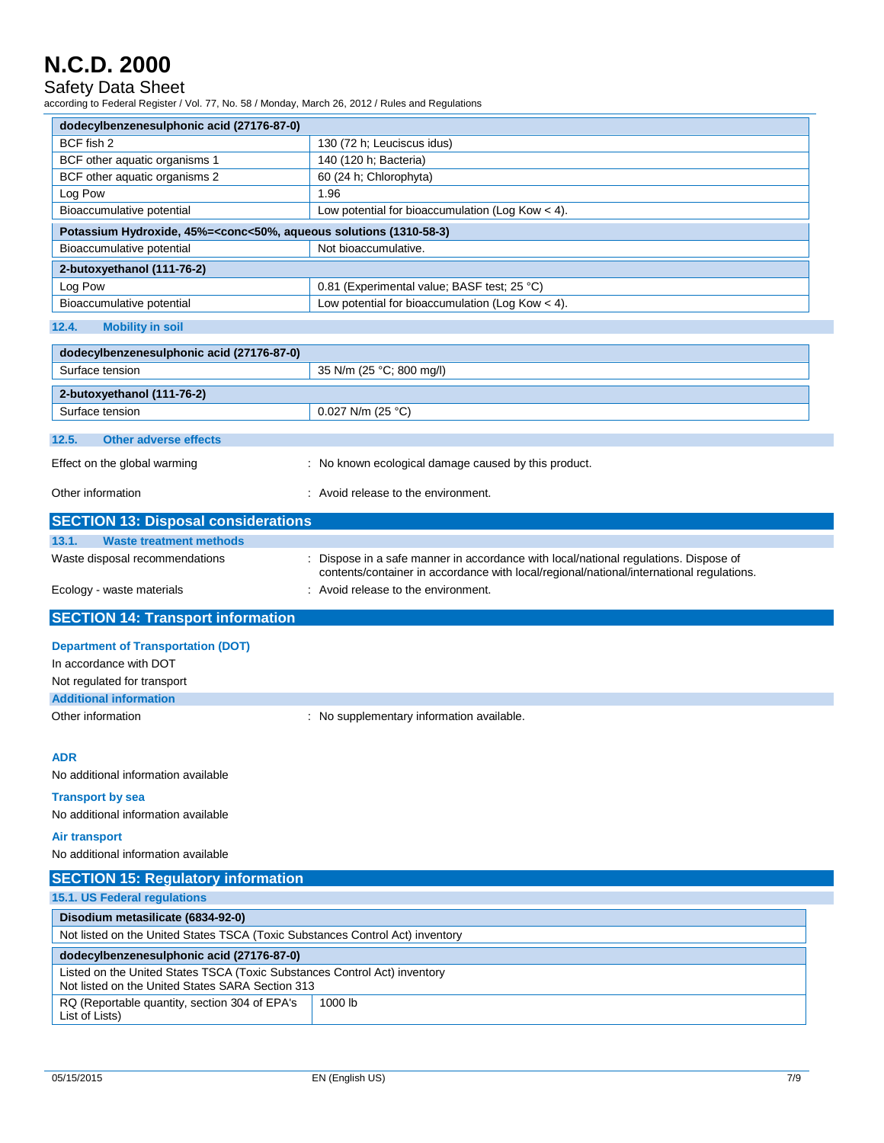#### Safety Data Sheet

according to Federal Register / Vol. 77, No. 58 / Monday, March 26, 2012 / Rules and Regulations

| dodecylbenzenesulphonic acid (27176-87-0)                                                       |                                                    |  |  |
|-------------------------------------------------------------------------------------------------|----------------------------------------------------|--|--|
| BCF fish 2                                                                                      | 130 (72 h; Leuciscus idus)                         |  |  |
| BCF other aquatic organisms 1                                                                   | 140 (120 h; Bacteria)                              |  |  |
| BCF other aquatic organisms 2                                                                   | 60 (24 h; Chlorophyta)                             |  |  |
| Log Pow                                                                                         | 1.96                                               |  |  |
| Bioaccumulative potential                                                                       | Low potential for bioaccumulation (Log Kow $<$ 4). |  |  |
| Potassium Hydroxide, 45%= <conc<50%, (1310-58-3)<="" aqueous="" solutions="" td=""></conc<50%,> |                                                    |  |  |
| Bioaccumulative potential                                                                       | Not bioaccumulative.                               |  |  |
| 2-butoxyethanol (111-76-2)                                                                      |                                                    |  |  |
| Log Pow                                                                                         | 0.81 (Experimental value; BASF test; 25 °C)        |  |  |
| Bioaccumulative potential                                                                       | Low potential for bioaccumulation (Log Kow $<$ 4). |  |  |
| 12.4.<br><b>Mobility in soil</b>                                                                |                                                    |  |  |

| dodecylbenzenesulphonic acid (27176-87-0)   |                                                                                                                                                                                |  |  |  |  |
|---------------------------------------------|--------------------------------------------------------------------------------------------------------------------------------------------------------------------------------|--|--|--|--|
| Surface tension<br>35 N/m (25 °C; 800 mg/l) |                                                                                                                                                                                |  |  |  |  |
| 2-butoxyethanol (111-76-2)                  |                                                                                                                                                                                |  |  |  |  |
| Surface tension                             | 0.027 N/m (25 $^{\circ}$ C)                                                                                                                                                    |  |  |  |  |
| <b>Other adverse effects</b><br>12.5.       |                                                                                                                                                                                |  |  |  |  |
|                                             |                                                                                                                                                                                |  |  |  |  |
| Effect on the global warming                | : No known ecological damage caused by this product.                                                                                                                           |  |  |  |  |
| Other information                           | : Avoid release to the environment.                                                                                                                                            |  |  |  |  |
| <b>SECTION 13: Disposal considerations</b>  |                                                                                                                                                                                |  |  |  |  |
| <b>Waste treatment methods</b><br>13.1.     |                                                                                                                                                                                |  |  |  |  |
| Waste disposal recommendations              | Dispose in a safe manner in accordance with local/national regulations. Dispose of<br>contents/container in accordance with local/regional/national/international regulations. |  |  |  |  |
| Ecology - waste materials                   | : Avoid release to the environment.                                                                                                                                            |  |  |  |  |
|                                             |                                                                                                                                                                                |  |  |  |  |
| <b>SECTION 14: Transport information</b>    |                                                                                                                                                                                |  |  |  |  |
| <b>Department of Transportation (DOT)</b>   |                                                                                                                                                                                |  |  |  |  |
| In accordance with DOT                      |                                                                                                                                                                                |  |  |  |  |
| Not regulated for transport                 |                                                                                                                                                                                |  |  |  |  |
| <b>Additional information</b>               |                                                                                                                                                                                |  |  |  |  |
| Other information                           | : No supplementary information available.                                                                                                                                      |  |  |  |  |
| <b>ADR</b>                                  |                                                                                                                                                                                |  |  |  |  |
| No additional information available         |                                                                                                                                                                                |  |  |  |  |
| <b>Transport by sea</b>                     |                                                                                                                                                                                |  |  |  |  |
| No additional information available         |                                                                                                                                                                                |  |  |  |  |
| <b>Air transport</b>                        |                                                                                                                                                                                |  |  |  |  |

| <b>SECTION 15: Regulatory information</b>                                                                                     |         |  |
|-------------------------------------------------------------------------------------------------------------------------------|---------|--|
| <b>15.1. US Federal regulations</b>                                                                                           |         |  |
| Disodium metasilicate (6834-92-0)                                                                                             |         |  |
| Not listed on the United States TSCA (Toxic Substances Control Act) inventory                                                 |         |  |
| dodecylbenzenesulphonic acid (27176-87-0)                                                                                     |         |  |
| Listed on the United States TSCA (Toxic Substances Control Act) inventory<br>Not listed on the United States SARA Section 313 |         |  |
| RQ (Reportable quantity, section 304 of EPA's<br>List of Lists)                                                               | 1000 lb |  |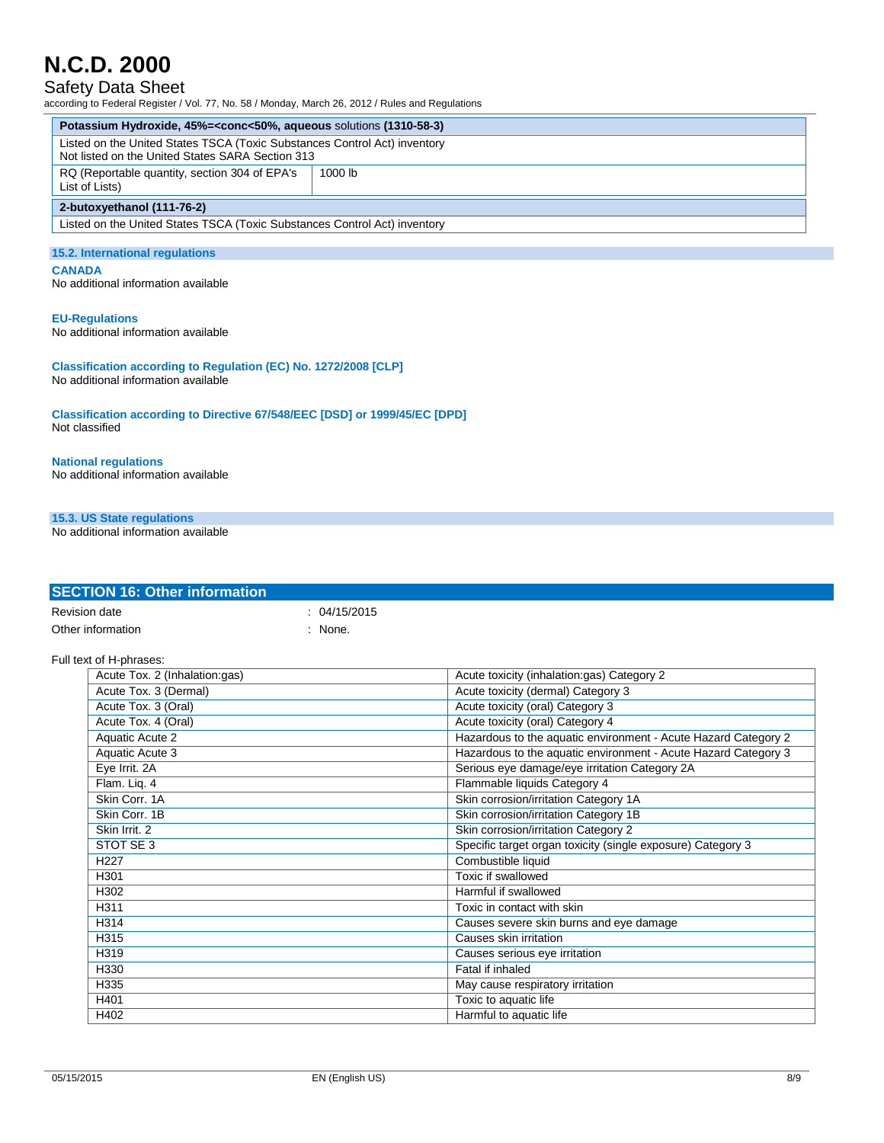### Safety Data Sheet

according to Federal Register / Vol. 77, No. 58 / Monday, March 26, 2012 / Rules and Regulations

| Potassium Hydroxide, 45%= <conc<50%, (1310-58-3)<="" aqueous="" solutions="" th=""></conc<50%,>                               |           |  |
|-------------------------------------------------------------------------------------------------------------------------------|-----------|--|
| Listed on the United States TSCA (Toxic Substances Control Act) inventory<br>Not listed on the United States SARA Section 313 |           |  |
| RQ (Reportable quantity, section 304 of EPA's<br>List of Lists)                                                               | $1000$ lb |  |
| 2-butoxyethanol (111-76-2)                                                                                                    |           |  |
| Listed on the United States TSCA (Toxic Substances Control Act) inventory                                                     |           |  |
| 15.2 International requisions                                                                                                 |           |  |

#### 15.2. International reg **CANADA**

No additional information available

#### **EU-Regulations**

No additional information available

**Classification according to Regulation (EC) No. 1272/2008 [CLP]** No additional information available

**Classification according to Directive 67/548/EEC [DSD] or 1999/45/EC [DPD]** Not classified

**National regulations** No additional information available

#### **15.3. US State regulations**

No additional information available

| Revision date                 | : 04/15/2015 |                                                                |
|-------------------------------|--------------|----------------------------------------------------------------|
| Other information             | $:$ None.    |                                                                |
|                               |              |                                                                |
| Full text of H-phrases:       |              |                                                                |
| Acute Tox. 2 (Inhalation:gas) |              | Acute toxicity (inhalation:gas) Category 2                     |
| Acute Tox. 3 (Dermal)         |              | Acute toxicity (dermal) Category 3                             |
| Acute Tox. 3 (Oral)           |              | Acute toxicity (oral) Category 3                               |
| Acute Tox. 4 (Oral)           |              | Acute toxicity (oral) Category 4                               |
| Aquatic Acute 2               |              | Hazardous to the aquatic environment - Acute Hazard Category 2 |
| Aquatic Acute 3               |              | Hazardous to the aquatic environment - Acute Hazard Category 3 |
| Eye Irrit. 2A                 |              | Serious eye damage/eye irritation Category 2A                  |
| Flam. Liq. 4                  |              | Flammable liquids Category 4                                   |
| Skin Corr. 1A                 |              | Skin corrosion/irritation Category 1A                          |
| Skin Corr. 1B                 |              | Skin corrosion/irritation Category 1B                          |
| Skin Irrit, 2                 |              | Skin corrosion/irritation Category 2                           |
| STOT SE 3                     |              | Specific target organ toxicity (single exposure) Category 3    |
| H <sub>227</sub>              |              | Combustible liquid                                             |
| H301                          |              | Toxic if swallowed                                             |
| H302                          |              | Harmful if swallowed                                           |
| H311                          |              | Toxic in contact with skin                                     |
| H314                          |              | Causes severe skin burns and eye damage                        |
| H315                          |              | Causes skin irritation                                         |
| H319                          |              | Causes serious eye irritation                                  |
| H330                          |              | Fatal if inhaled                                               |
| H335                          |              | May cause respiratory irritation                               |
| H401                          |              | Toxic to aquatic life                                          |
| H402                          |              | Harmful to aquatic life                                        |